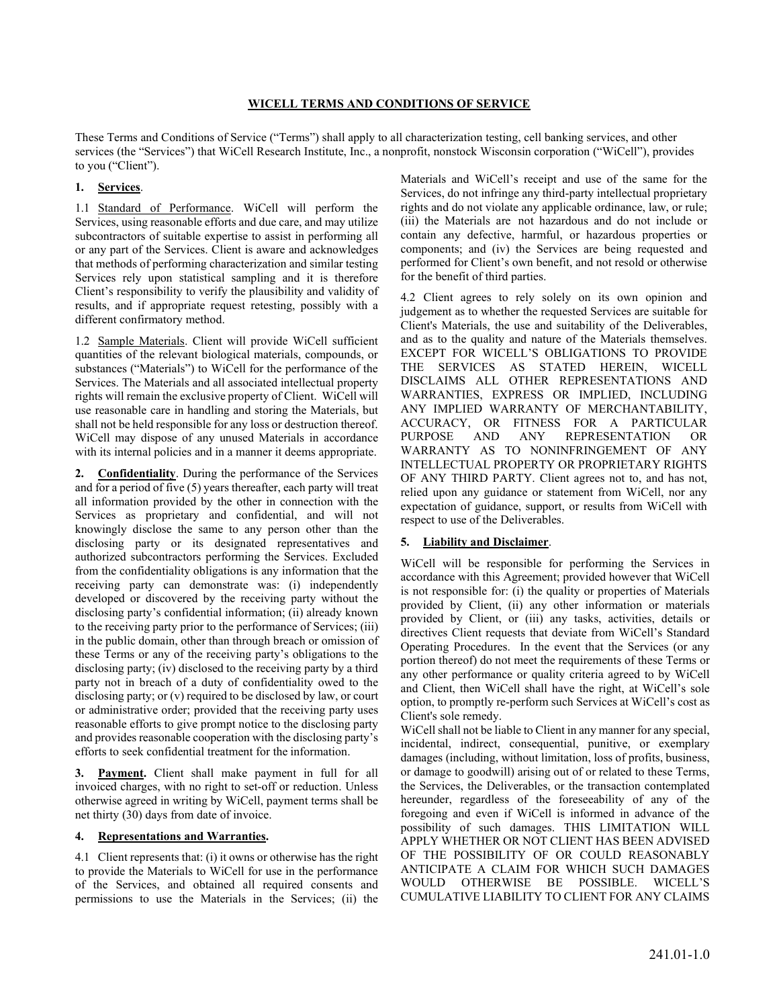## **WICELL TERMS AND CONDITIONS OF SERVICE**

These Terms and Conditions of Service ("Terms") shall apply to all characterization testing, cell banking services, and other services (the "Services") that WiCell Research Institute, Inc., a nonprofit, nonstock Wisconsin corporation ("WiCell"), provides to you ("Client").

### **1. Services**.

1.1 Standard of Performance. WiCell will perform the Services, using reasonable efforts and due care, and may utilize subcontractors of suitable expertise to assist in performing all or any part of the Services. Client is aware and acknowledges that methods of performing characterization and similar testing Services rely upon statistical sampling and it is therefore Client's responsibility to verify the plausibility and validity of results, and if appropriate request retesting, possibly with a different confirmatory method.

1.2 Sample Materials. Client will provide WiCell sufficient quantities of the relevant biological materials, compounds, or substances ("Materials") to WiCell for the performance of the Services. The Materials and all associated intellectual property rights will remain the exclusive property of Client. WiCell will use reasonable care in handling and storing the Materials, but shall not be held responsible for any loss or destruction thereof. WiCell may dispose of any unused Materials in accordance with its internal policies and in a manner it deems appropriate.

**2. Confidentiality**. During the performance of the Services and for a period of five (5) years thereafter, each party will treat all information provided by the other in connection with the Services as proprietary and confidential, and will not knowingly disclose the same to any person other than the disclosing party or its designated representatives and authorized subcontractors performing the Services. Excluded from the confidentiality obligations is any information that the receiving party can demonstrate was: (i) independently developed or discovered by the receiving party without the disclosing party's confidential information; (ii) already known to the receiving party prior to the performance of Services; (iii) in the public domain, other than through breach or omission of these Terms or any of the receiving party's obligations to the disclosing party; (iv) disclosed to the receiving party by a third party not in breach of a duty of confidentiality owed to the disclosing party; or (v) required to be disclosed by law, or court or administrative order; provided that the receiving party uses reasonable efforts to give prompt notice to the disclosing party and provides reasonable cooperation with the disclosing party's efforts to seek confidential treatment for the information.

**3. Payment.** Client shall make payment in full for all invoiced charges, with no right to set-off or reduction. Unless otherwise agreed in writing by WiCell, payment terms shall be net thirty (30) days from date of invoice.

#### **4. Representations and Warranties.**

4.1 Client represents that: (i) it owns or otherwise has the right to provide the Materials to WiCell for use in the performance of the Services, and obtained all required consents and permissions to use the Materials in the Services; (ii) the Materials and WiCell's receipt and use of the same for the Services, do not infringe any third-party intellectual proprietary rights and do not violate any applicable ordinance, law, or rule; (iii) the Materials are not hazardous and do not include or contain any defective, harmful, or hazardous properties or components; and (iv) the Services are being requested and performed for Client's own benefit, and not resold or otherwise for the benefit of third parties.

4.2 Client agrees to rely solely on its own opinion and judgement as to whether the requested Services are suitable for Client's Materials, the use and suitability of the Deliverables, and as to the quality and nature of the Materials themselves. EXCEPT FOR WICELL'S OBLIGATIONS TO PROVIDE THE SERVICES AS STATED HEREIN, WICELL DISCLAIMS ALL OTHER REPRESENTATIONS AND WARRANTIES, EXPRESS OR IMPLIED, INCLUDING ANY IMPLIED WARRANTY OF MERCHANTABILITY, ACCURACY, OR FITNESS FOR A PARTICULAR PURPOSE AND ANY REPRESENTATION OR WARRANTY AS TO NONINFRINGEMENT OF ANY INTELLECTUAL PROPERTY OR PROPRIETARY RIGHTS OF ANY THIRD PARTY. Client agrees not to, and has not, relied upon any guidance or statement from WiCell, nor any expectation of guidance, support, or results from WiCell with respect to use of the Deliverables.

#### **5. Liability and Disclaimer**.

WiCell will be responsible for performing the Services in accordance with this Agreement; provided however that WiCell is not responsible for: (i) the quality or properties of Materials provided by Client, (ii) any other information or materials provided by Client, or (iii) any tasks, activities, details or directives Client requests that deviate from WiCell's Standard Operating Procedures. In the event that the Services (or any portion thereof) do not meet the requirements of these Terms or any other performance or quality criteria agreed to by WiCell and Client, then WiCell shall have the right, at WiCell's sole option, to promptly re-perform such Services at WiCell's cost as Client's sole remedy.

WiCell shall not be liable to Client in any manner for any special, incidental, indirect, consequential, punitive, or exemplary damages (including, without limitation, loss of profits, business, or damage to goodwill) arising out of or related to these Terms, the Services, the Deliverables, or the transaction contemplated hereunder, regardless of the foreseeability of any of the foregoing and even if WiCell is informed in advance of the possibility of such damages. THIS LIMITATION WILL APPLY WHETHER OR NOT CLIENT HAS BEEN ADVISED OF THE POSSIBILITY OF OR COULD REASONABLY ANTICIPATE A CLAIM FOR WHICH SUCH DAMAGES WOULD OTHERWISE BE POSSIBLE. WICELL'S CUMULATIVE LIABILITY TO CLIENT FOR ANY CLAIMS